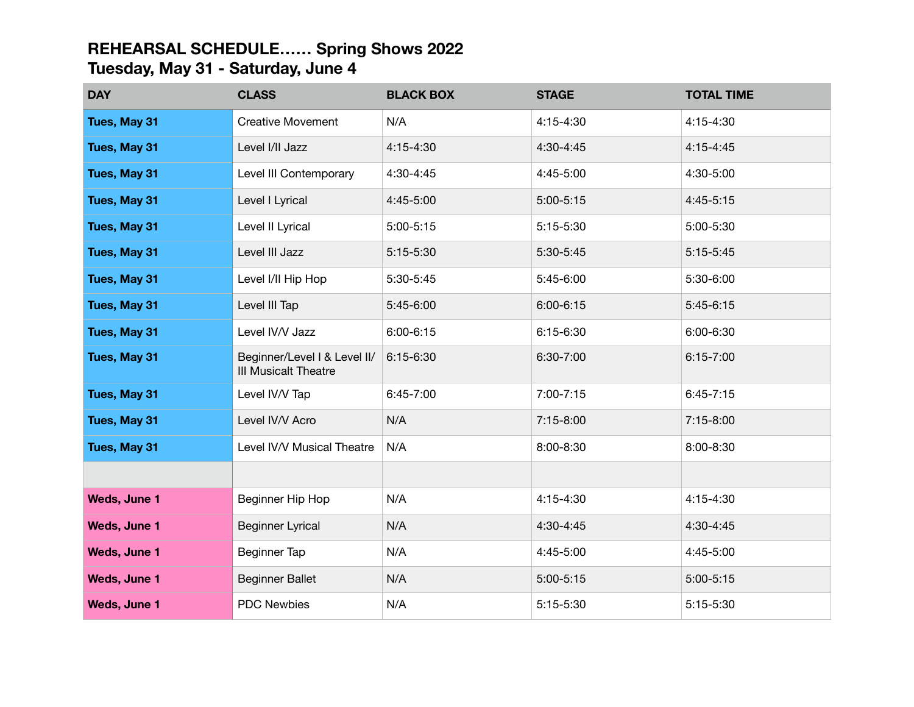## **REHEARSAL SCHEDULE…… Spring Shows 2022 Tuesday, May 31 - Saturday, June 4**

| <b>DAY</b>          | <b>CLASS</b>                                         | <b>BLACK BOX</b> | <b>STAGE</b>  | <b>TOTAL TIME</b> |
|---------------------|------------------------------------------------------|------------------|---------------|-------------------|
| Tues, May 31        | <b>Creative Movement</b>                             | N/A              | 4:15-4:30     | 4:15-4:30         |
| Tues, May 31        | Level I/II Jazz                                      | 4:15-4:30        | 4:30-4:45     | $4:15 - 4:45$     |
| Tues, May 31        | Level III Contemporary                               | 4:30-4:45        | 4:45-5:00     | 4:30-5:00         |
| Tues, May 31        | Level I Lyrical                                      | 4:45-5:00        | $5:00 - 5:15$ | 4:45-5:15         |
| Tues, May 31        | Level II Lyrical                                     | 5:00-5:15        | 5:15-5:30     | 5:00-5:30         |
| Tues, May 31        | Level III Jazz                                       | 5:15-5:30        | 5:30-5:45     | $5:15-5:45$       |
| Tues, May 31        | Level I/II Hip Hop                                   | 5:30-5:45        | 5:45-6:00     | 5:30-6:00         |
| Tues, May 31        | Level III Tap                                        | 5:45-6:00        | $6:00 - 6:15$ | $5:45-6:15$       |
| Tues, May 31        | Level IV/V Jazz                                      | 6:00-6:15        | 6:15-6:30     | 6:00-6:30         |
| Tues, May 31        | Beginner/Level I & Level II/<br>III Musicalt Theatre | 6:15-6:30        | 6:30-7:00     | $6:15 - 7:00$     |
| Tues, May 31        | Level IV/V Tap                                       | 6:45-7:00        | 7:00-7:15     | $6:45-7:15$       |
| Tues, May 31        | Level IV/V Acro                                      | N/A              | 7:15-8:00     | 7:15-8:00         |
| Tues, May 31        | Level IV/V Musical Theatre                           | N/A              | 8:00-8:30     | 8:00-8:30         |
|                     |                                                      |                  |               |                   |
| Weds, June 1        | Beginner Hip Hop                                     | N/A              | 4:15-4:30     | 4:15-4:30         |
| Weds, June 1        | <b>Beginner Lyrical</b>                              | N/A              | 4:30-4:45     | 4:30-4:45         |
| Weds, June 1        | Beginner Tap                                         | N/A              | 4:45-5:00     | 4:45-5:00         |
| Weds, June 1        | <b>Beginner Ballet</b>                               | N/A              | $5:00 - 5:15$ | 5:00-5:15         |
| <b>Weds, June 1</b> | <b>PDC Newbies</b>                                   | N/A              | 5:15-5:30     | 5:15-5:30         |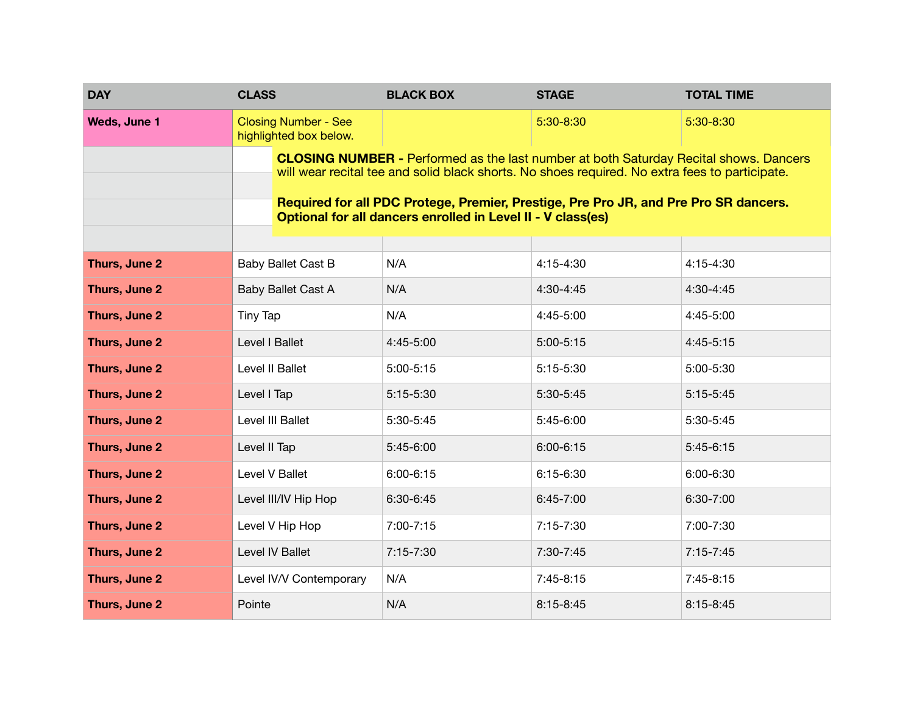| <b>DAY</b>          | <b>CLASS</b>                                                                                                                                                                                                                                                                                                                                          | <b>BLACK BOX</b> | <b>STAGE</b>  | <b>TOTAL TIME</b> |  |  |
|---------------------|-------------------------------------------------------------------------------------------------------------------------------------------------------------------------------------------------------------------------------------------------------------------------------------------------------------------------------------------------------|------------------|---------------|-------------------|--|--|
| <b>Weds, June 1</b> | <b>Closing Number - See</b><br>highlighted box below.                                                                                                                                                                                                                                                                                                 |                  | 5:30-8:30     | 5:30-8:30         |  |  |
|                     | <b>CLOSING NUMBER - Performed as the last number at both Saturday Recital shows. Dancers</b><br>will wear recital tee and solid black shorts. No shoes required. No extra fees to participate.<br>Required for all PDC Protege, Premier, Prestige, Pre Pro JR, and Pre Pro SR dancers.<br>Optional for all dancers enrolled in Level II - V class(es) |                  |               |                   |  |  |
| Thurs, June 2       | Baby Ballet Cast B                                                                                                                                                                                                                                                                                                                                    | N/A              | 4:15-4:30     | 4:15-4:30         |  |  |
| Thurs, June 2       | Baby Ballet Cast A                                                                                                                                                                                                                                                                                                                                    | N/A              | 4:30-4:45     | 4:30-4:45         |  |  |
| Thurs, June 2       | Tiny Tap                                                                                                                                                                                                                                                                                                                                              | N/A              | 4:45-5:00     | 4:45-5:00         |  |  |
| Thurs, June 2       | Level I Ballet                                                                                                                                                                                                                                                                                                                                        | 4:45-5:00        | $5:00 - 5:15$ | $4:45-5:15$       |  |  |
| Thurs, June 2       | Level II Ballet                                                                                                                                                                                                                                                                                                                                       | $5:00-5:15$      | 5:15-5:30     | 5:00-5:30         |  |  |
| Thurs, June 2       | Level I Tap                                                                                                                                                                                                                                                                                                                                           | 5:15-5:30        | 5:30-5:45     | $5:15-5:45$       |  |  |
| Thurs, June 2       | Level III Ballet                                                                                                                                                                                                                                                                                                                                      | 5:30-5:45        | 5:45-6:00     | 5:30-5:45         |  |  |
| Thurs, June 2       | Level II Tap                                                                                                                                                                                                                                                                                                                                          | 5:45-6:00        | $6:00 - 6:15$ | $5:45-6:15$       |  |  |
| Thurs, June 2       | Level V Ballet                                                                                                                                                                                                                                                                                                                                        | 6:00-6:15        | 6:15-6:30     | 6:00-6:30         |  |  |
| Thurs, June 2       | Level III/IV Hip Hop                                                                                                                                                                                                                                                                                                                                  | 6:30-6:45        | 6:45-7:00     | 6:30-7:00         |  |  |
| Thurs, June 2       | Level V Hip Hop                                                                                                                                                                                                                                                                                                                                       | 7:00-7:15        | 7:15-7:30     | 7:00-7:30         |  |  |
| Thurs, June 2       | Level IV Ballet                                                                                                                                                                                                                                                                                                                                       | 7:15-7:30        | 7:30-7:45     | $7:15 - 7:45$     |  |  |
| Thurs, June 2       | Level IV/V Contemporary                                                                                                                                                                                                                                                                                                                               | N/A              | 7:45-8:15     | $7:45-8:15$       |  |  |
| Thurs, June 2       | Pointe                                                                                                                                                                                                                                                                                                                                                | N/A              | $8:15 - 8:45$ | 8:15-8:45         |  |  |